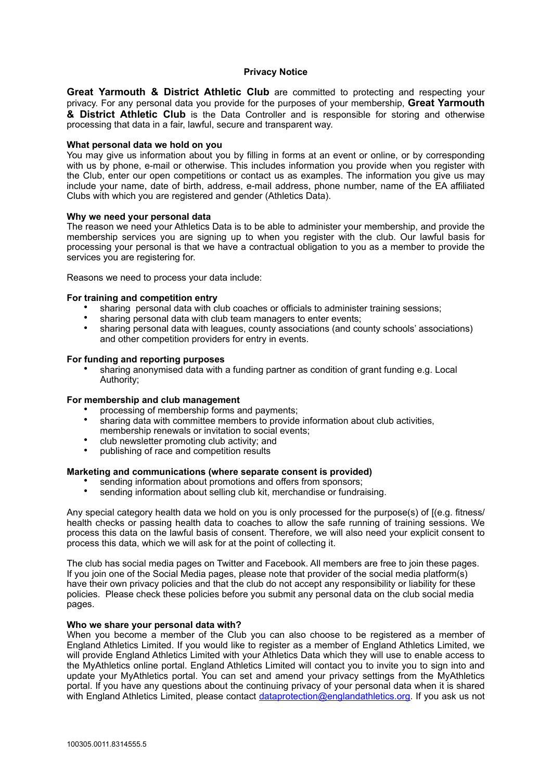# **Privacy Notice**

**Great Yarmouth & District Athletic Club** are committed to protecting and respecting your privacy. For any personal data you provide for the purposes of your membership, **Great Yarmouth & District Athletic Club** is the Data Controller and is responsible for storing and otherwise processing that data in a fair, lawful, secure and transparent way.

## **What personal data we hold on you**

You may give us information about you by filling in forms at an event or online, or by corresponding with us by phone, e-mail or otherwise. This includes information you provide when you register with the Club, enter our open competitions or contact us as examples. The information you give us may include your name, date of birth, address, e-mail address, phone number, name of the EA affiliated Clubs with which you are registered and gender (Athletics Data).

### **Why we need your personal data**

The reason we need your Athletics Data is to be able to administer your membership, and provide the membership services you are signing up to when you register with the club. Our lawful basis for processing your personal is that we have a contractual obligation to you as a member to provide the services you are registering for.

Reasons we need to process your data include:

### **For training and competition entry**

- sharing personal data with club coaches or officials to administer training sessions;
- sharing personal data with club team managers to enter events;<br>• sharing personal data with loggues, county associations (and so
- sharing personal data with leagues, county associations (and county schools' associations) and other competition providers for entry in events.

### **For funding and reporting purposes**

• sharing anonymised data with a funding partner as condition of grant funding e.g. Local Authority;

#### **For membership and club management**

- processing of membership forms and payments;
- sharing data with committee members to provide information about club activities, membership renewals or invitation to social events;
- club newsletter promoting club activity; and
- publishing of race and competition results

# **Marketing and communications (where separate consent is provided)**

- sending information about promotions and offers from sponsors;<br>• sending information about selling club kit, merchandise or fundra
- sending information about selling club kit, merchandise or fundraising.

Any special category health data we hold on you is only processed for the purpose(s) of [(e.g. fitness/ health checks or passing health data to coaches to allow the safe running of training sessions. We process this data on the lawful basis of consent. Therefore, we will also need your explicit consent to process this data, which we will ask for at the point of collecting it.

The club has social media pages on Twitter and Facebook. All members are free to join these pages. If you join one of the Social Media pages, please note that provider of the social media platform(s) have their own privacy policies and that the club do not accept any responsibility or liability for these policies. Please check these policies before you submit any personal data on the club social media pages.

### **Who we share your personal data with?**

When you become a member of the Club you can also choose to be registered as a member of England Athletics Limited. If you would like to register as a member of England Athletics Limited, we will provide England Athletics Limited with your Athletics Data which they will use to enable access to the MyAthletics online portal. England Athletics Limited will contact you to invite you to sign into and update your MyAthletics portal. You can set and amend your privacy settings from the MyAthletics portal. If you have any questions about the continuing privacy of your personal data when it is shared with England Athletics Limited, please contact [dataprotection@englandathletics.org.](mailto:dataprotection@englandathletics.org) If you ask us not